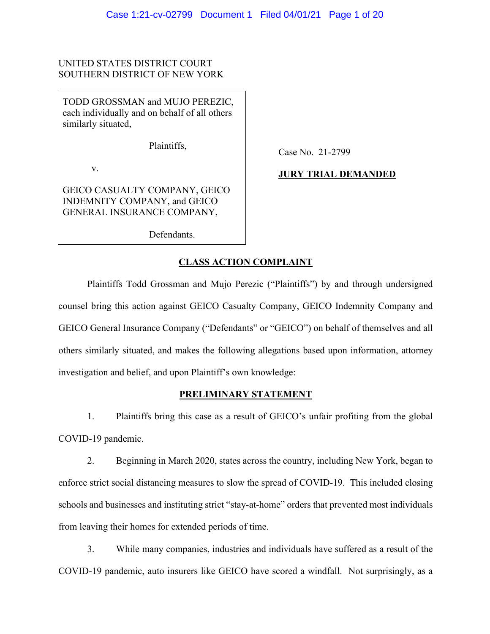## UNITED STATES DISTRICT COURT SOUTHERN DISTRICT OF NEW YORK

TODD GROSSMAN and MUJO PEREZIC, each individually and on behalf of all others similarly situated,

Plaintiffs,

v.

GEICO CASUALTY COMPANY, GEICO INDEMNITY COMPANY, and GEICO GENERAL INSURANCE COMPANY,

Defendants.

Case No. 21-2799

# **JURY TRIAL DEMANDED**

# **CLASS ACTION COMPLAINT**

Plaintiffs Todd Grossman and Mujo Perezic ("Plaintiffs") by and through undersigned counsel bring this action against GEICO Casualty Company, GEICO Indemnity Company and GEICO General Insurance Company ("Defendants" or "GEICO") on behalf of themselves and all others similarly situated, and makes the following allegations based upon information, attorney investigation and belief, and upon Plaintiff's own knowledge:

## **PRELIMINARY STATEMENT**

1. Plaintiffs bring this case as a result of GEICO's unfair profiting from the global COVID-19 pandemic.

2. Beginning in March 2020, states across the country, including New York, began to enforce strict social distancing measures to slow the spread of COVID-19. This included closing schools and businesses and instituting strict "stay-at-home" orders that prevented most individuals from leaving their homes for extended periods of time.

3. While many companies, industries and individuals have suffered as a result of the COVID-19 pandemic, auto insurers like GEICO have scored a windfall. Not surprisingly, as a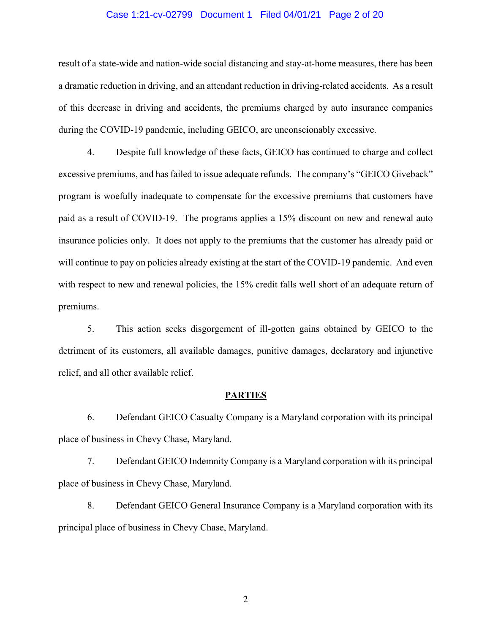### Case 1:21-cv-02799 Document 1 Filed 04/01/21 Page 2 of 20

result of a state-wide and nation-wide social distancing and stay-at-home measures, there has been a dramatic reduction in driving, and an attendant reduction in driving-related accidents. As a result of this decrease in driving and accidents, the premiums charged by auto insurance companies during the COVID-19 pandemic, including GEICO, are unconscionably excessive.

4. Despite full knowledge of these facts, GEICO has continued to charge and collect excessive premiums, and has failed to issue adequate refunds. The company's "GEICO Giveback" program is woefully inadequate to compensate for the excessive premiums that customers have paid as a result of COVID-19. The programs applies a 15% discount on new and renewal auto insurance policies only. It does not apply to the premiums that the customer has already paid or will continue to pay on policies already existing at the start of the COVID-19 pandemic. And even with respect to new and renewal policies, the 15% credit falls well short of an adequate return of premiums.

5. This action seeks disgorgement of ill-gotten gains obtained by GEICO to the detriment of its customers, all available damages, punitive damages, declaratory and injunctive relief, and all other available relief.

#### **PARTIES**

6. Defendant GEICO Casualty Company is a Maryland corporation with its principal place of business in Chevy Chase, Maryland.

7. Defendant GEICO Indemnity Company is a Maryland corporation with its principal place of business in Chevy Chase, Maryland.

8. Defendant GEICO General Insurance Company is a Maryland corporation with its principal place of business in Chevy Chase, Maryland.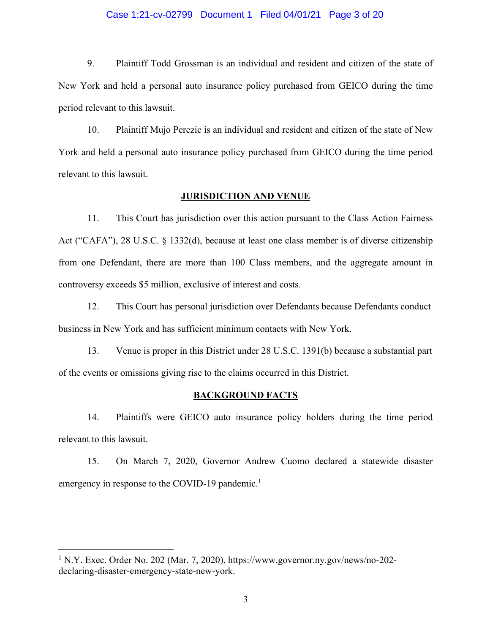#### Case 1:21-cv-02799 Document 1 Filed 04/01/21 Page 3 of 20

9. Plaintiff Todd Grossman is an individual and resident and citizen of the state of New York and held a personal auto insurance policy purchased from GEICO during the time period relevant to this lawsuit.

10. Plaintiff Mujo Perezic is an individual and resident and citizen of the state of New York and held a personal auto insurance policy purchased from GEICO during the time period relevant to this lawsuit.

### **JURISDICTION AND VENUE**

11. This Court has jurisdiction over this action pursuant to the Class Action Fairness Act ("CAFA"), 28 U.S.C. § 1332(d), because at least one class member is of diverse citizenship from one Defendant, there are more than 100 Class members, and the aggregate amount in controversy exceeds \$5 million, exclusive of interest and costs.

12. This Court has personal jurisdiction over Defendants because Defendants conduct business in New York and has sufficient minimum contacts with New York.

13. Venue is proper in this District under 28 U.S.C. 1391(b) because a substantial part of the events or omissions giving rise to the claims occurred in this District.

#### **BACKGROUND FACTS**

14. Plaintiffs were GEICO auto insurance policy holders during the time period relevant to this lawsuit.

15. On March 7, 2020, Governor Andrew Cuomo declared a statewide disaster emergency in response to the COVID-19 pandemic.<sup>1</sup>

 $1$  N.Y. Exec. Order No. 202 (Mar. 7, 2020), https://www.governor.ny.gov/news/no-202declaring-disaster-emergency-state-new-york.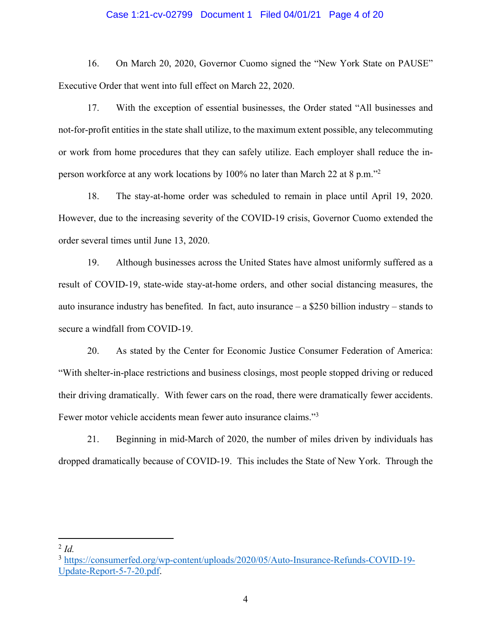#### Case 1:21-cv-02799 Document 1 Filed 04/01/21 Page 4 of 20

16. On March 20, 2020, Governor Cuomo signed the "New York State on PAUSE" Executive Order that went into full effect on March 22, 2020.

17. With the exception of essential businesses, the Order stated "All businesses and not-for-profit entities in the state shall utilize, to the maximum extent possible, any telecommuting or work from home procedures that they can safely utilize. Each employer shall reduce the inperson workforce at any work locations by 100% no later than March 22 at 8 p.m."2

18. The stay-at-home order was scheduled to remain in place until April 19, 2020. However, due to the increasing severity of the COVID-19 crisis, Governor Cuomo extended the order several times until June 13, 2020.

19. Although businesses across the United States have almost uniformly suffered as a result of COVID-19, state-wide stay-at-home orders, and other social distancing measures, the auto insurance industry has benefited. In fact, auto insurance – a \$250 billion industry – stands to secure a windfall from COVID-19.

20. As stated by the Center for Economic Justice Consumer Federation of America: "With shelter-in-place restrictions and business closings, most people stopped driving or reduced their driving dramatically. With fewer cars on the road, there were dramatically fewer accidents. Fewer motor vehicle accidents mean fewer auto insurance claims."3

21. Beginning in mid-March of 2020, the number of miles driven by individuals has dropped dramatically because of COVID-19. This includes the State of New York. Through the

<sup>2</sup> *Id.*

<sup>3</sup> https://consumerfed.org/wp-content/uploads/2020/05/Auto-Insurance-Refunds-COVID-19- Update-Report-5-7-20.pdf.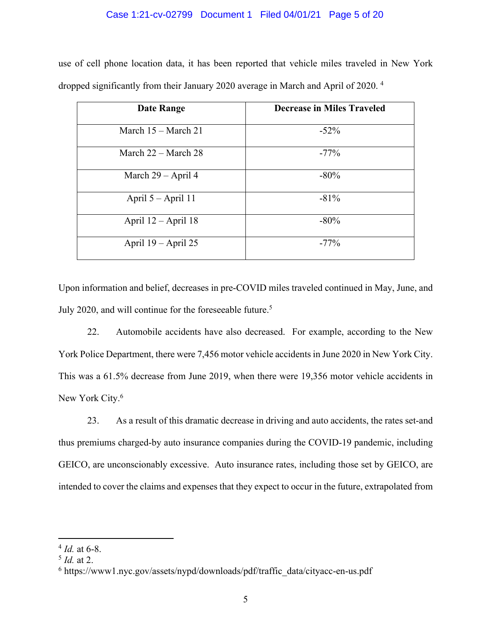### Case 1:21-cv-02799 Document 1 Filed 04/01/21 Page 5 of 20

use of cell phone location data, it has been reported that vehicle miles traveled in New York dropped significantly from their January 2020 average in March and April of 2020. 4

| <b>Date Range</b>             | <b>Decrease in Miles Traveled</b> |
|-------------------------------|-----------------------------------|
| March $15 - \text{March } 21$ | $-52\%$                           |
| March $22 -$ March $28$       | $-77\%$                           |
| March $29 - April 4$          | $-80\%$                           |
| April $5 -$ April 11          | $-81%$                            |
| April $12 -$ April 18         | $-80\%$                           |
| April $19 -$ April 25         | $-77\%$                           |

Upon information and belief, decreases in pre-COVID miles traveled continued in May, June, and July 2020, and will continue for the foreseeable future.<sup>5</sup>

22. Automobile accidents have also decreased. For example, according to the New York Police Department, there were 7,456 motor vehicle accidents in June 2020 in New York City. This was a 61.5% decrease from June 2019, when there were 19,356 motor vehicle accidents in New York City.<sup>6</sup>

23. As a result of this dramatic decrease in driving and auto accidents, the rates set-and thus premiums charged-by auto insurance companies during the COVID-19 pandemic, including GEICO, are unconscionably excessive. Auto insurance rates, including those set by GEICO, are intended to cover the claims and expenses that they expect to occur in the future, extrapolated from

<sup>4</sup> *Id.* at 6-8.

<sup>5</sup> *Id.* at 2.

<sup>&</sup>lt;sup>6</sup> https://www1.nyc.gov/assets/nypd/downloads/pdf/traffic\_data/cityacc-en-us.pdf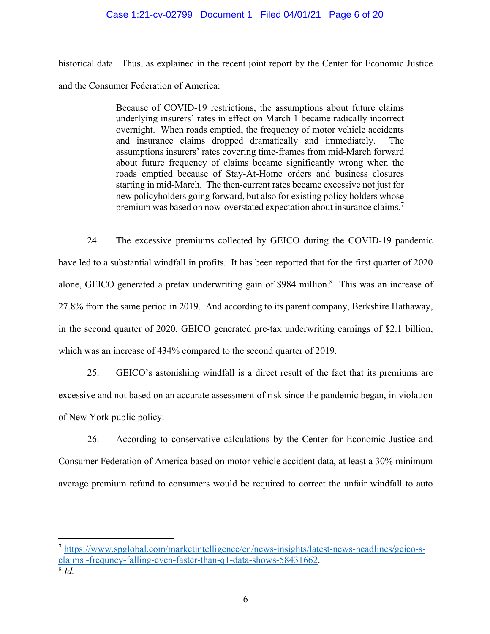### Case 1:21-cv-02799 Document 1 Filed 04/01/21 Page 6 of 20

historical data. Thus, as explained in the recent joint report by the Center for Economic Justice and the Consumer Federation of America:

> Because of COVID-19 restrictions, the assumptions about future claims underlying insurers' rates in effect on March 1 became radically incorrect overnight. When roads emptied, the frequency of motor vehicle accidents and insurance claims dropped dramatically and immediately. The assumptions insurers' rates covering time-frames from mid-March forward about future frequency of claims became significantly wrong when the roads emptied because of Stay-At-Home orders and business closures starting in mid-March. The then-current rates became excessive not just for new policyholders going forward, but also for existing policy holders whose premium was based on now-overstated expectation about insurance claims.7

24. The excessive premiums collected by GEICO during the COVID-19 pandemic have led to a substantial windfall in profits. It has been reported that for the first quarter of 2020 alone, GEICO generated a pretax underwriting gain of \$984 million.<sup>8</sup> This was an increase of 27.8% from the same period in 2019. And according to its parent company, Berkshire Hathaway, in the second quarter of 2020, GEICO generated pre-tax underwriting earnings of \$2.1 billion, which was an increase of 434% compared to the second quarter of 2019.

25. GEICO's astonishing windfall is a direct result of the fact that its premiums are excessive and not based on an accurate assessment of risk since the pandemic began, in violation of New York public policy.

26. According to conservative calculations by the Center for Economic Justice and Consumer Federation of America based on motor vehicle accident data, at least a 30% minimum average premium refund to consumers would be required to correct the unfair windfall to auto

<sup>7</sup> https://www.spglobal.com/marketintelligence/en/news-insights/latest-news-headlines/geico-sclaims -frequncy-falling-even-faster-than-q1-data-shows-58431662. 8 *Id.*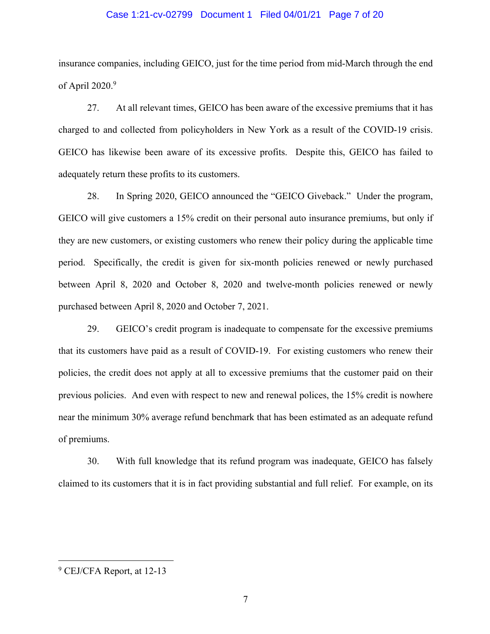#### Case 1:21-cv-02799 Document 1 Filed 04/01/21 Page 7 of 20

insurance companies, including GEICO, just for the time period from mid-March through the end of April  $2020.<sup>9</sup>$ 

27. At all relevant times, GEICO has been aware of the excessive premiums that it has charged to and collected from policyholders in New York as a result of the COVID-19 crisis. GEICO has likewise been aware of its excessive profits. Despite this, GEICO has failed to adequately return these profits to its customers.

28. In Spring 2020, GEICO announced the "GEICO Giveback." Under the program, GEICO will give customers a 15% credit on their personal auto insurance premiums, but only if they are new customers, or existing customers who renew their policy during the applicable time period. Specifically, the credit is given for six-month policies renewed or newly purchased between April 8, 2020 and October 8, 2020 and twelve-month policies renewed or newly purchased between April 8, 2020 and October 7, 2021.

29. GEICO's credit program is inadequate to compensate for the excessive premiums that its customers have paid as a result of COVID-19. For existing customers who renew their policies, the credit does not apply at all to excessive premiums that the customer paid on their previous policies. And even with respect to new and renewal polices, the 15% credit is nowhere near the minimum 30% average refund benchmark that has been estimated as an adequate refund of premiums.

30. With full knowledge that its refund program was inadequate, GEICO has falsely claimed to its customers that it is in fact providing substantial and full relief. For example, on its

<sup>9</sup> CEJ/CFA Report, at 12-13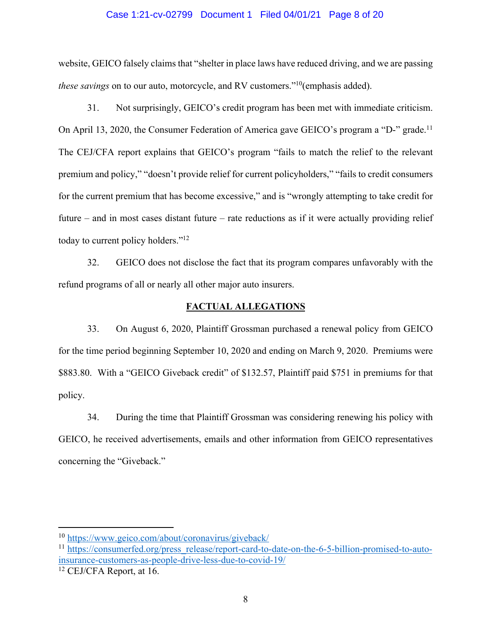#### Case 1:21-cv-02799 Document 1 Filed 04/01/21 Page 8 of 20

website, GEICO falsely claims that "shelter in place laws have reduced driving, and we are passing *these savings* on to our auto, motorcycle, and RV customers."<sup>10</sup>(emphasis added).

31. Not surprisingly, GEICO's credit program has been met with immediate criticism. On April 13, 2020, the Consumer Federation of America gave GEICO's program a "D-" grade.11 The CEJ/CFA report explains that GEICO's program "fails to match the relief to the relevant premium and policy," "doesn't provide relief for current policyholders," "fails to credit consumers for the current premium that has become excessive," and is "wrongly attempting to take credit for future – and in most cases distant future – rate reductions as if it were actually providing relief today to current policy holders."<sup>12</sup>

32. GEICO does not disclose the fact that its program compares unfavorably with the refund programs of all or nearly all other major auto insurers.

#### **FACTUAL ALLEGATIONS**

33. On August 6, 2020, Plaintiff Grossman purchased a renewal policy from GEICO for the time period beginning September 10, 2020 and ending on March 9, 2020. Premiums were \$883.80. With a "GEICO Giveback credit" of \$132.57, Plaintiff paid \$751 in premiums for that policy.

34. During the time that Plaintiff Grossman was considering renewing his policy with GEICO, he received advertisements, emails and other information from GEICO representatives concerning the "Giveback."

<sup>10</sup> https://www.geico.com/about/coronavirus/giveback/

<sup>11</sup> https://consumerfed.org/press\_release/report-card-to-date-on-the-6-5-billion-promised-to-autoinsurance-customers-as-people-drive-less-due-to-covid-19/

<sup>&</sup>lt;sup>12</sup> CEJ/CFA Report, at 16.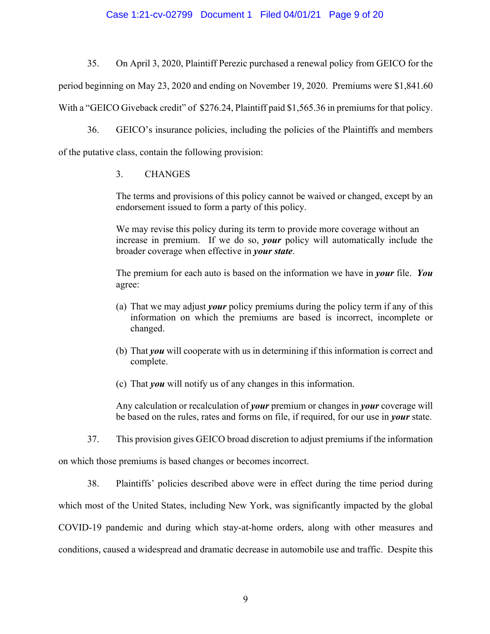## Case 1:21-cv-02799 Document 1 Filed 04/01/21 Page 9 of 20

35. On April 3, 2020, Plaintiff Perezic purchased a renewal policy from GEICO for the

period beginning on May 23, 2020 and ending on November 19, 2020. Premiums were \$1,841.60

With a "GEICO Giveback credit" of \$276.24, Plaintiff paid \$1,565.36 in premiums for that policy.

36. GEICO's insurance policies, including the policies of the Plaintiffs and members of the putative class, contain the following provision:

## 3. CHANGES

The terms and provisions of this policy cannot be waived or changed, except by an endorsement issued to form a party of this policy.

We may revise this policy during its term to provide more coverage without an increase in premium. If we do so, *your* policy will automatically include the broader coverage when effective in *your state*.

The premium for each auto is based on the information we have in *your* file. *You* agree:

- (a) That we may adjust *your* policy premiums during the policy term if any of this information on which the premiums are based is incorrect, incomplete or changed.
- (b) That *you* will cooperate with us in determining if this information is correct and complete.
- (c) That *you* will notify us of any changes in this information.

Any calculation or recalculation of *your* premium or changes in *your* coverage will be based on the rules, rates and forms on file, if required, for our use in *your* state.

37. This provision gives GEICO broad discretion to adjust premiums if the information

on which those premiums is based changes or becomes incorrect.

38. Plaintiffs' policies described above were in effect during the time period during which most of the United States, including New York, was significantly impacted by the global COVID-19 pandemic and during which stay-at-home orders, along with other measures and conditions, caused a widespread and dramatic decrease in automobile use and traffic. Despite this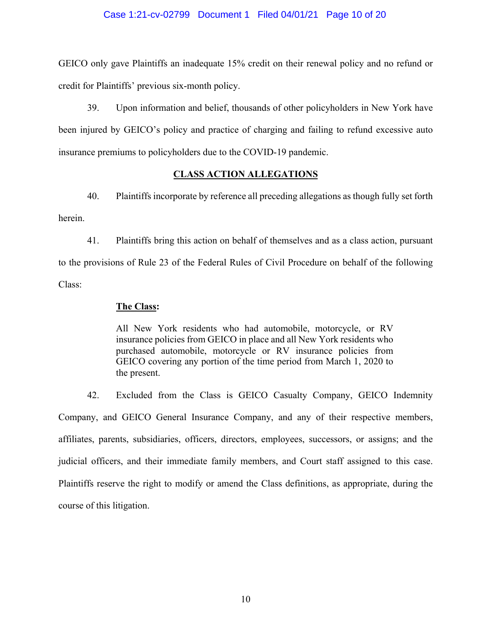#### Case 1:21-cv-02799 Document 1 Filed 04/01/21 Page 10 of 20

GEICO only gave Plaintiffs an inadequate 15% credit on their renewal policy and no refund or credit for Plaintiffs' previous six-month policy.

39. Upon information and belief, thousands of other policyholders in New York have been injured by GEICO's policy and practice of charging and failing to refund excessive auto insurance premiums to policyholders due to the COVID-19 pandemic.

## **CLASS ACTION ALLEGATIONS**

40. Plaintiffs incorporate by reference all preceding allegations as though fully set forth herein.

41. Plaintiffs bring this action on behalf of themselves and as a class action, pursuant to the provisions of Rule 23 of the Federal Rules of Civil Procedure on behalf of the following Class:

#### **The Class:**

All New York residents who had automobile, motorcycle, or RV insurance policies from GEICO in place and all New York residents who purchased automobile, motorcycle or RV insurance policies from GEICO covering any portion of the time period from March 1, 2020 to the present.

42. Excluded from the Class is GEICO Casualty Company, GEICO Indemnity Company, and GEICO General Insurance Company, and any of their respective members, affiliates, parents, subsidiaries, officers, directors, employees, successors, or assigns; and the judicial officers, and their immediate family members, and Court staff assigned to this case. Plaintiffs reserve the right to modify or amend the Class definitions, as appropriate, during the course of this litigation.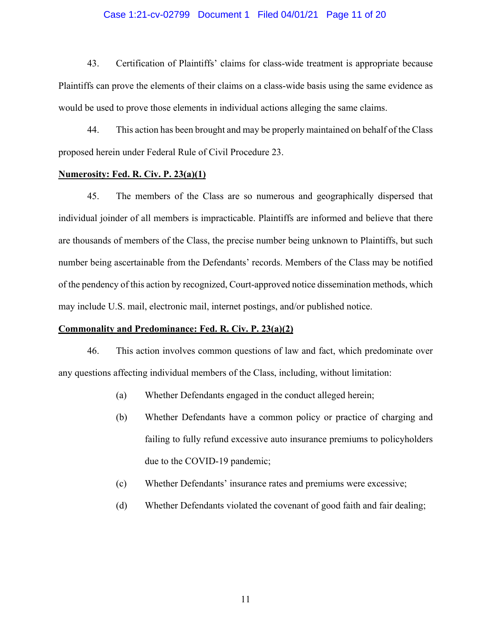### Case 1:21-cv-02799 Document 1 Filed 04/01/21 Page 11 of 20

43. Certification of Plaintiffs' claims for class-wide treatment is appropriate because Plaintiffs can prove the elements of their claims on a class-wide basis using the same evidence as would be used to prove those elements in individual actions alleging the same claims.

44. This action has been brought and may be properly maintained on behalf of the Class proposed herein under Federal Rule of Civil Procedure 23.

### **Numerosity: Fed. R. Civ. P. 23(a)(1)**

45. The members of the Class are so numerous and geographically dispersed that individual joinder of all members is impracticable. Plaintiffs are informed and believe that there are thousands of members of the Class, the precise number being unknown to Plaintiffs, but such number being ascertainable from the Defendants' records. Members of the Class may be notified of the pendency of this action by recognized, Court-approved notice dissemination methods, which may include U.S. mail, electronic mail, internet postings, and/or published notice.

### **Commonality and Predominance: Fed. R. Civ. P. 23(a)(2)**

46. This action involves common questions of law and fact, which predominate over any questions affecting individual members of the Class, including, without limitation:

- (a) Whether Defendants engaged in the conduct alleged herein;
- (b) Whether Defendants have a common policy or practice of charging and failing to fully refund excessive auto insurance premiums to policyholders due to the COVID-19 pandemic;
- (c) Whether Defendants' insurance rates and premiums were excessive;
- (d) Whether Defendants violated the covenant of good faith and fair dealing;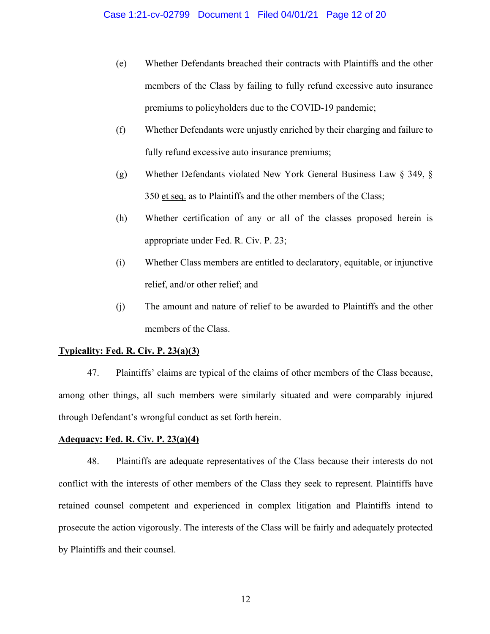- (e) Whether Defendants breached their contracts with Plaintiffs and the other members of the Class by failing to fully refund excessive auto insurance premiums to policyholders due to the COVID-19 pandemic;
- (f) Whether Defendants were unjustly enriched by their charging and failure to fully refund excessive auto insurance premiums;
- (g) Whether Defendants violated New York General Business Law § 349, § 350 et seq. as to Plaintiffs and the other members of the Class;
- (h) Whether certification of any or all of the classes proposed herein is appropriate under Fed. R. Civ. P. 23;
- (i) Whether Class members are entitled to declaratory, equitable, or injunctive relief, and/or other relief; and
- (j) The amount and nature of relief to be awarded to Plaintiffs and the other members of the Class.

## **Typicality: Fed. R. Civ. P. 23(a)(3)**

47. Plaintiffs' claims are typical of the claims of other members of the Class because, among other things, all such members were similarly situated and were comparably injured through Defendant's wrongful conduct as set forth herein.

### **Adequacy: Fed. R. Civ. P. 23(a)(4)**

48. Plaintiffs are adequate representatives of the Class because their interests do not conflict with the interests of other members of the Class they seek to represent. Plaintiffs have retained counsel competent and experienced in complex litigation and Plaintiffs intend to prosecute the action vigorously. The interests of the Class will be fairly and adequately protected by Plaintiffs and their counsel.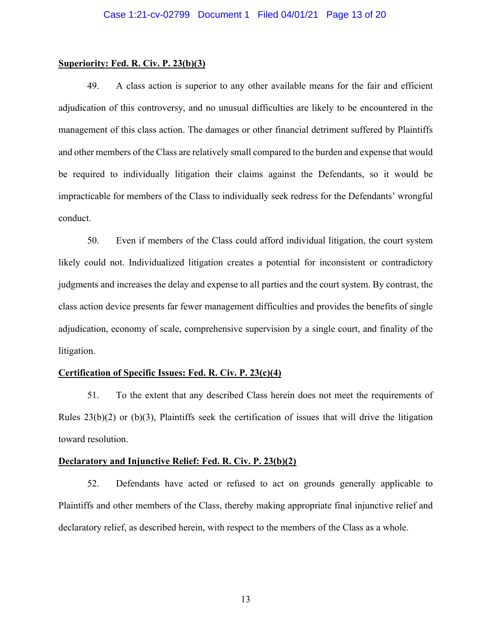#### **Superiority: Fed. R. Civ. P. 23(b)(3)**

49. A class action is superior to any other available means for the fair and efficient adjudication of this controversy, and no unusual difficulties are likely to be encountered in the management of this class action. The damages or other financial detriment suffered by Plaintiffs and other members of the Class are relatively small compared to the burden and expense that would be required to individually litigation their claims against the Defendants, so it would be impracticable for members of the Class to individually seek redress for the Defendants' wrongful conduct.

50. Even if members of the Class could afford individual litigation, the court system likely could not. Individualized litigation creates a potential for inconsistent or contradictory judgments and increases the delay and expense to all parties and the court system. By contrast, the class action device presents far fewer management difficulties and provides the benefits of single adjudication, economy of scale, comprehensive supervision by a single court, and finality of the litigation.

### **Certification of Specific Issues: Fed. R. Civ. P. 23(c)(4)**

51. To the extent that any described Class herein does not meet the requirements of Rules 23(b)(2) or (b)(3), Plaintiffs seek the certification of issues that will drive the litigation toward resolution.

### **Declaratory and Injunctive Relief: Fed. R. Civ. P. 23(b)(2)**

52. Defendants have acted or refused to act on grounds generally applicable to Plaintiffs and other members of the Class, thereby making appropriate final injunctive relief and declaratory relief, as described herein, with respect to the members of the Class as a whole.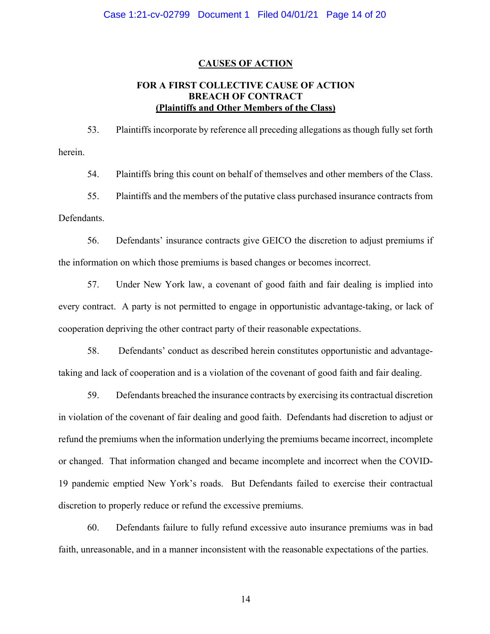#### **CAUSES OF ACTION**

## **FOR A FIRST COLLECTIVE CAUSE OF ACTION BREACH OF CONTRACT (Plaintiffs and Other Members of the Class)**

53. Plaintiffs incorporate by reference all preceding allegations as though fully set forth herein.

54. Plaintiffs bring this count on behalf of themselves and other members of the Class.

55. Plaintiffs and the members of the putative class purchased insurance contracts from Defendants.

56. Defendants' insurance contracts give GEICO the discretion to adjust premiums if the information on which those premiums is based changes or becomes incorrect.

57. Under New York law, a covenant of good faith and fair dealing is implied into every contract. A party is not permitted to engage in opportunistic advantage-taking, or lack of cooperation depriving the other contract party of their reasonable expectations.

58. Defendants' conduct as described herein constitutes opportunistic and advantagetaking and lack of cooperation and is a violation of the covenant of good faith and fair dealing.

59. Defendants breached the insurance contracts by exercising its contractual discretion in violation of the covenant of fair dealing and good faith. Defendants had discretion to adjust or refund the premiums when the information underlying the premiums became incorrect, incomplete or changed. That information changed and became incomplete and incorrect when the COVID-19 pandemic emptied New York's roads. But Defendants failed to exercise their contractual discretion to properly reduce or refund the excessive premiums.

60. Defendants failure to fully refund excessive auto insurance premiums was in bad faith, unreasonable, and in a manner inconsistent with the reasonable expectations of the parties.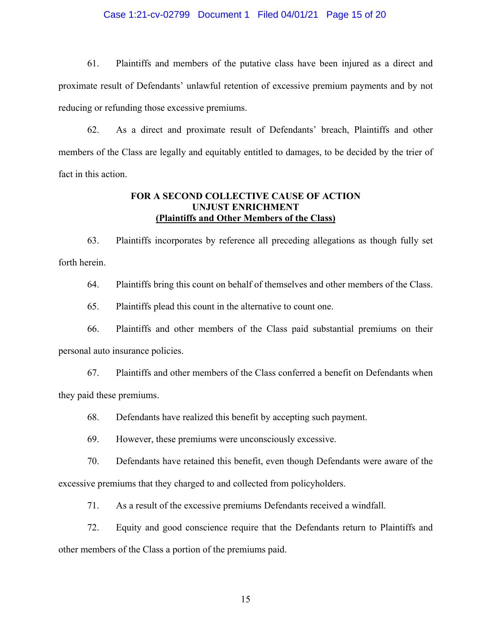### Case 1:21-cv-02799 Document 1 Filed 04/01/21 Page 15 of 20

61. Plaintiffs and members of the putative class have been injured as a direct and proximate result of Defendants' unlawful retention of excessive premium payments and by not reducing or refunding those excessive premiums.

62. As a direct and proximate result of Defendants' breach, Plaintiffs and other members of the Class are legally and equitably entitled to damages, to be decided by the trier of fact in this action.

## **FOR A SECOND COLLECTIVE CAUSE OF ACTION UNJUST ENRICHMENT (Plaintiffs and Other Members of the Class)**

63. Plaintiffs incorporates by reference all preceding allegations as though fully set forth herein.

64. Plaintiffs bring this count on behalf of themselves and other members of the Class.

65. Plaintiffs plead this count in the alternative to count one.

66. Plaintiffs and other members of the Class paid substantial premiums on their personal auto insurance policies.

67. Plaintiffs and other members of the Class conferred a benefit on Defendants when they paid these premiums.

68. Defendants have realized this benefit by accepting such payment.

69. However, these premiums were unconsciously excessive.

70. Defendants have retained this benefit, even though Defendants were aware of the excessive premiums that they charged to and collected from policyholders.

71. As a result of the excessive premiums Defendants received a windfall.

72. Equity and good conscience require that the Defendants return to Plaintiffs and other members of the Class a portion of the premiums paid.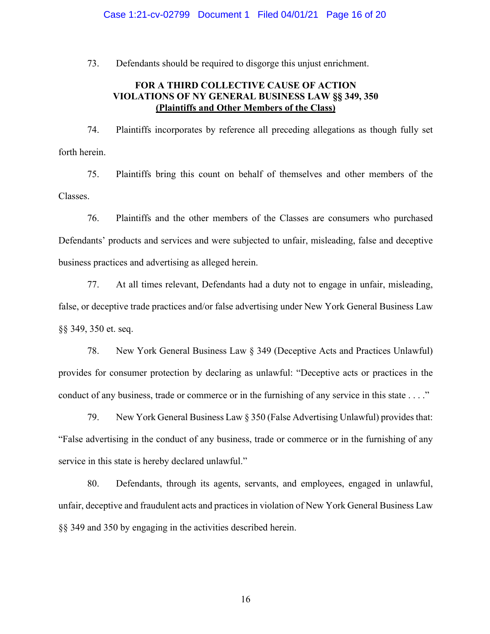#### Case 1:21-cv-02799 Document 1 Filed 04/01/21 Page 16 of 20

73. Defendants should be required to disgorge this unjust enrichment.

## **FOR A THIRD COLLECTIVE CAUSE OF ACTION VIOLATIONS OF NY GENERAL BUSINESS LAW §§ 349, 350 (Plaintiffs and Other Members of the Class)**

74. Plaintiffs incorporates by reference all preceding allegations as though fully set forth herein.

75. Plaintiffs bring this count on behalf of themselves and other members of the Classes.

76. Plaintiffs and the other members of the Classes are consumers who purchased Defendants' products and services and were subjected to unfair, misleading, false and deceptive business practices and advertising as alleged herein.

77. At all times relevant, Defendants had a duty not to engage in unfair, misleading, false, or deceptive trade practices and/or false advertising under New York General Business Law §§ 349, 350 et. seq.

78. New York General Business Law § 349 (Deceptive Acts and Practices Unlawful) provides for consumer protection by declaring as unlawful: "Deceptive acts or practices in the conduct of any business, trade or commerce or in the furnishing of any service in this state . . . ."

79. New York General Business Law § 350 (False Advertising Unlawful) provides that: "False advertising in the conduct of any business, trade or commerce or in the furnishing of any service in this state is hereby declared unlawful."

80. Defendants, through its agents, servants, and employees, engaged in unlawful, unfair, deceptive and fraudulent acts and practices in violation of New York General Business Law §§ 349 and 350 by engaging in the activities described herein.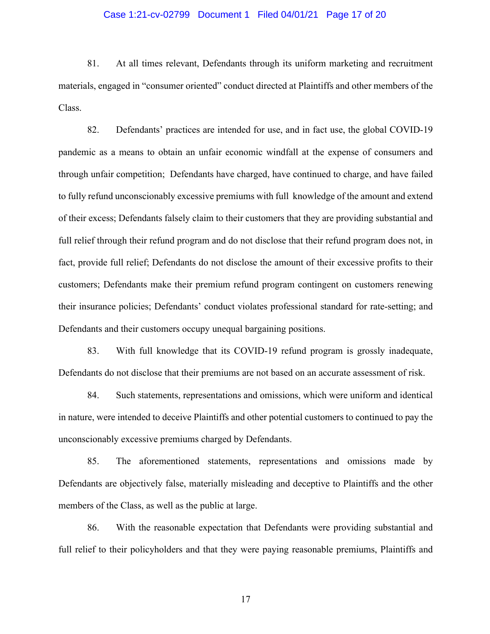### Case 1:21-cv-02799 Document 1 Filed 04/01/21 Page 17 of 20

81. At all times relevant, Defendants through its uniform marketing and recruitment materials, engaged in "consumer oriented" conduct directed at Plaintiffs and other members of the Class.

82. Defendants' practices are intended for use, and in fact use, the global COVID-19 pandemic as a means to obtain an unfair economic windfall at the expense of consumers and through unfair competition; Defendants have charged, have continued to charge, and have failed to fully refund unconscionably excessive premiums with full knowledge of the amount and extend of their excess; Defendants falsely claim to their customers that they are providing substantial and full relief through their refund program and do not disclose that their refund program does not, in fact, provide full relief; Defendants do not disclose the amount of their excessive profits to their customers; Defendants make their premium refund program contingent on customers renewing their insurance policies; Defendants' conduct violates professional standard for rate-setting; and Defendants and their customers occupy unequal bargaining positions.

83. With full knowledge that its COVID-19 refund program is grossly inadequate, Defendants do not disclose that their premiums are not based on an accurate assessment of risk.

84. Such statements, representations and omissions, which were uniform and identical in nature, were intended to deceive Plaintiffs and other potential customers to continued to pay the unconscionably excessive premiums charged by Defendants.

85. The aforementioned statements, representations and omissions made by Defendants are objectively false, materially misleading and deceptive to Plaintiffs and the other members of the Class, as well as the public at large.

86. With the reasonable expectation that Defendants were providing substantial and full relief to their policyholders and that they were paying reasonable premiums, Plaintiffs and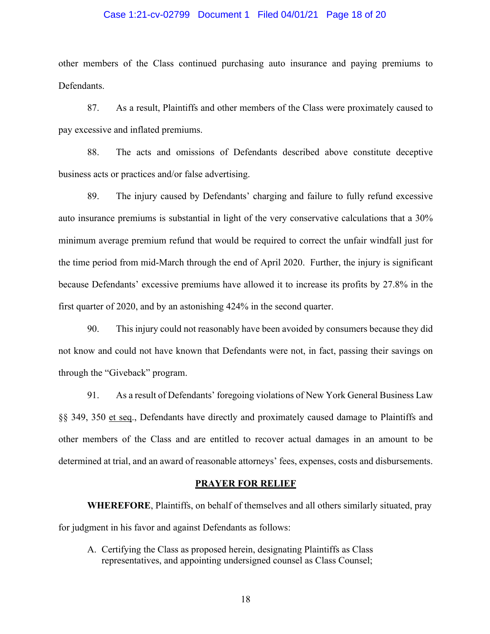### Case 1:21-cv-02799 Document 1 Filed 04/01/21 Page 18 of 20

other members of the Class continued purchasing auto insurance and paying premiums to Defendants.

87. As a result, Plaintiffs and other members of the Class were proximately caused to pay excessive and inflated premiums.

88. The acts and omissions of Defendants described above constitute deceptive business acts or practices and/or false advertising.

89. The injury caused by Defendants' charging and failure to fully refund excessive auto insurance premiums is substantial in light of the very conservative calculations that a 30% minimum average premium refund that would be required to correct the unfair windfall just for the time period from mid-March through the end of April 2020. Further, the injury is significant because Defendants' excessive premiums have allowed it to increase its profits by 27.8% in the first quarter of 2020, and by an astonishing 424% in the second quarter.

90. This injury could not reasonably have been avoided by consumers because they did not know and could not have known that Defendants were not, in fact, passing their savings on through the "Giveback" program.

91. As a result of Defendants' foregoing violations of New York General Business Law §§ 349, 350 et seq., Defendants have directly and proximately caused damage to Plaintiffs and other members of the Class and are entitled to recover actual damages in an amount to be determined at trial, and an award of reasonable attorneys' fees, expenses, costs and disbursements.

#### **PRAYER FOR RELIEF**

**WHEREFORE**, Plaintiffs, on behalf of themselves and all others similarly situated, pray for judgment in his favor and against Defendants as follows:

A. Certifying the Class as proposed herein, designating Plaintiffs as Class representatives, and appointing undersigned counsel as Class Counsel;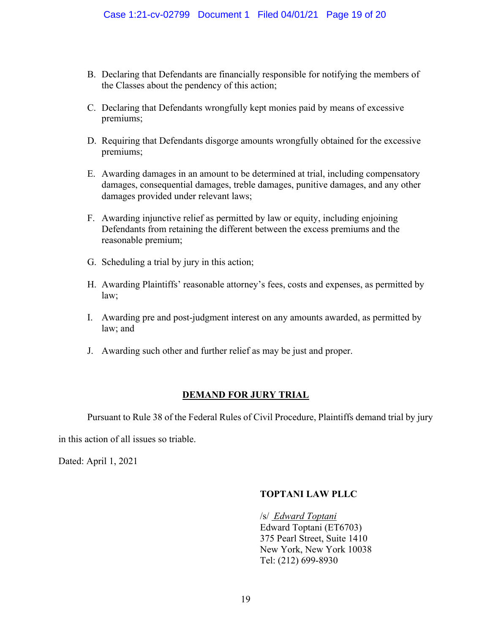- B. Declaring that Defendants are financially responsible for notifying the members of the Classes about the pendency of this action;
- C. Declaring that Defendants wrongfully kept monies paid by means of excessive premiums;
- D. Requiring that Defendants disgorge amounts wrongfully obtained for the excessive premiums;
- E. Awarding damages in an amount to be determined at trial, including compensatory damages, consequential damages, treble damages, punitive damages, and any other damages provided under relevant laws;
- F. Awarding injunctive relief as permitted by law or equity, including enjoining Defendants from retaining the different between the excess premiums and the reasonable premium;
- G. Scheduling a trial by jury in this action;
- H. Awarding Plaintiffs' reasonable attorney's fees, costs and expenses, as permitted by law;
- I. Awarding pre and post-judgment interest on any amounts awarded, as permitted by law; and
- J. Awarding such other and further relief as may be just and proper.

## **DEMAND FOR JURY TRIAL**

Pursuant to Rule 38 of the Federal Rules of Civil Procedure, Plaintiffs demand trial by jury

in this action of all issues so triable.

Dated: April 1, 2021

## **TOPTANI LAW PLLC**

/s/ *Edward Toptani* Edward Toptani (ET6703) 375 Pearl Street, Suite 1410 New York, New York 10038 Tel: (212) 699-8930